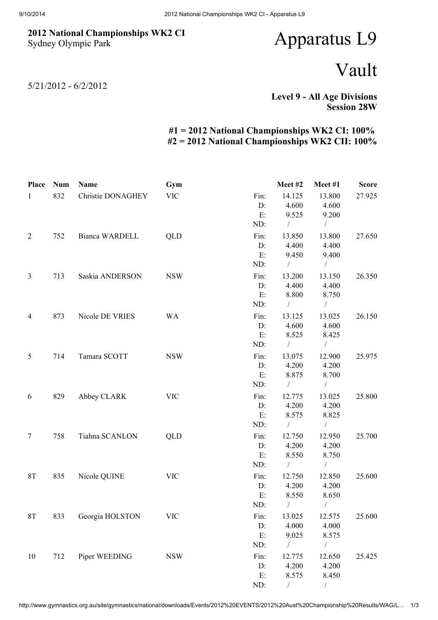## 2012 National Championships WK2 CI Sydney Olympic Park

## Apparatus L9

## Vault

5/21/2012 - 6/2/2012

Level 9 - All Age Divisions Session 28W

## #1 = 2012 National Championships WK2 CI: 100% #2 = 2012 National Championships WK2 CII: 100%

| <b>Place</b>   | <b>Num</b> | Name              | Gym        |      | Meet#2        | Meet#1         | <b>Score</b> |
|----------------|------------|-------------------|------------|------|---------------|----------------|--------------|
| $\mathbf{1}$   | 832        | Christie DONAGHEY | <b>VIC</b> | Fin: | 14.125        | 13.800         | 27.925       |
|                |            |                   |            | D:   | 4.600         | 4.600          |              |
|                |            |                   |            | E:   | 9.525         | 9.200          |              |
|                |            |                   |            | ND:  | $\sqrt{2}$    | $\sqrt{2}$     |              |
| $\overline{2}$ | 752        | Bianca WARDELL    | QLD        | Fin: | 13.850        | 13.800         | 27.650       |
|                |            |                   |            | D:   | 4.400         | 4.400          |              |
|                |            |                   |            | E:   | 9.450         | 9.400          |              |
|                |            |                   |            | ND:  | $\sqrt{2}$    | $\overline{ }$ |              |
| $\mathfrak{Z}$ | 713        | Saskia ANDERSON   | <b>NSW</b> | Fin: | 13.200        | 13.150         | 26.350       |
|                |            |                   |            | D:   | 4.400         | 4.400          |              |
|                |            |                   |            | E:   | 8.800         | 8.750          |              |
|                |            |                   |            | ND:  | $\sqrt{2}$    | $\sqrt{2}$     |              |
| $\overline{4}$ | 873        | Nicole DE VRIES   | <b>WA</b>  | Fin: | 13.125        | 13.025         | 26.150       |
|                |            |                   |            | D:   | 4.600         | 4.600          |              |
|                |            |                   |            | E:   | 8.525         | 8.425          |              |
|                |            |                   |            | ND:  | $\frac{1}{2}$ | $\sqrt{2}$     |              |
| 5              | 714        | Tamara SCOTT      | <b>NSW</b> | Fin: | 13.075        | 12.900         | 25.975       |
|                |            |                   |            | D:   | 4.200         | 4.200          |              |
|                |            |                   |            | E:   | 8.875         | 8.700          |              |
|                |            |                   |            | ND:  | $\frac{1}{2}$ | $\sqrt{2}$     |              |
| 6              | 829        | Abbey CLARK       | <b>VIC</b> | Fin: | 12.775        | 13.025         | 25.800       |
|                |            |                   |            | D:   | 4.200         | 4.200          |              |
|                |            |                   |            | E:   | 8.575         | 8.825          |              |
|                |            |                   |            | ND:  | $\sqrt{2}$    | $\frac{1}{2}$  |              |
| $\tau$         | 758        | Tiahna SCANLON    | QLD        | Fin: | 12.750        | 12.950         | 25.700       |
|                |            |                   |            | D:   | 4.200         | 4.200          |              |
|                |            |                   |            | E:   | 8.550         | 8.750          |              |
|                |            |                   |            | ND:  | $\sqrt{2}$    | $\sqrt{2}$     |              |
| <b>8T</b>      | 835        | Nicole QUINE      | <b>VIC</b> | Fin: | 12.750        | 12.850         | 25.600       |
|                |            |                   |            | D:   | 4.200         | 4.200          |              |
|                |            |                   |            | E:   | 8.550         | 8.650          |              |
|                |            |                   |            | ND:  | $\sqrt{2}$    | $\sqrt{2}$     |              |
| 8T             | 833        | Georgia HOLSTON   | <b>VIC</b> | Fin: | 13.025        | 12.575         | 25.600       |
|                |            |                   |            | D:   | 4.000         | 4.000          |              |
|                |            |                   |            | E:   | 9.025         | 8.575          |              |
|                |            |                   |            | ND:  | $\sqrt{2}$    | $\sqrt{2}$     |              |
| 10             | 712        | Piper WEEDING     | <b>NSW</b> | Fin: | 12.775        | 12.650         | 25.425       |
|                |            |                   |            | D:   | 4.200         | 4.200          |              |
|                |            |                   |            | E:   | 8.575         | 8.450          |              |
|                |            |                   |            | ND:  |               | $\sqrt{2}$     |              |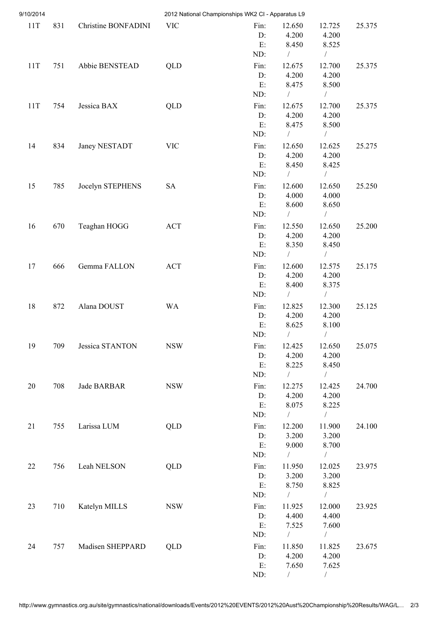| 9/10/2014 |     |                     |            | 2012 National Championships WK2 CI - Apparatus L9 |                                           |                                            |        |
|-----------|-----|---------------------|------------|---------------------------------------------------|-------------------------------------------|--------------------------------------------|--------|
| 11T       | 831 | Christine BONFADINI | <b>VIC</b> | Fin:<br>D:<br>E:<br>ND:                           | 12.650<br>4.200<br>8.450<br>$\sqrt{2}$    | 12.725<br>4.200<br>8.525<br>$\overline{ }$ | 25.375 |
| 11T       | 751 | Abbie BENSTEAD      | QLD        | Fin:<br>D:<br>E:<br>ND:                           | 12.675<br>4.200<br>8.475<br>$\sqrt{2}$    | 12.700<br>4.200<br>8.500<br>$\sqrt{2}$     | 25.375 |
| 11T       | 754 | Jessica BAX         | QLD        | Fin:<br>D:<br>E:                                  | 12.675<br>4.200<br>8.475                  | 12.700<br>4.200<br>8.500                   | 25.375 |
| 14        | 834 | Janey NESTADT       | <b>VIC</b> | ND:<br>Fin:<br>D:<br>E:                           | $\sqrt{2}$<br>12.650<br>4.200<br>8.450    | $\sqrt{2}$<br>12.625<br>4.200<br>8.425     | 25.275 |
| 15        | 785 | Jocelyn STEPHENS    | SA         | ND:<br>Fin:<br>D:<br>E:                           | $\sqrt{2}$<br>12.600<br>4.000<br>8.600    | $\sqrt{2}$<br>12.650<br>4.000<br>8.650     | 25.250 |
| 16        | 670 | Teaghan HOGG        | <b>ACT</b> | ND:<br>Fin:<br>D:<br>E:                           | $\sqrt{2}$<br>12.550<br>4.200<br>8.350    | Т<br>12.650<br>4.200<br>8.450              | 25.200 |
| 17        | 666 | Gemma FALLON        | <b>ACT</b> | ND:<br>Fin:<br>D:<br>E:                           | $\sqrt{2}$<br>12.600<br>4.200<br>8.400    | $\sqrt{2}$<br>12.575<br>4.200<br>8.375     | 25.175 |
| 18        | 872 | Alana DOUST         | <b>WA</b>  | ND:<br>Fin:<br>D:<br>E:                           | $\sqrt{2}$<br>12.825<br>4.200<br>8.625    | $\bigg)$<br>12.300<br>4.200<br>8.100       | 25.125 |
| 19        | 709 | Jessica STANTON     | <b>NSW</b> | ND:<br>Fin:<br>D:<br>E:                           | $\sqrt{2}$<br>12.425<br>4.200<br>8.225    | $\overline{1}$<br>12.650<br>4.200<br>8.450 | 25.075 |
| $20\,$    | 708 | Jade BARBAR         | <b>NSW</b> | ND:<br>Fin:<br>D:<br>E:                           | $\sqrt{2}$<br>12.275<br>4.200<br>8.075    | $\sqrt{2}$<br>12.425<br>4.200<br>8.225     | 24.700 |
| 21        | 755 | Larissa LUM         | QLD        | ND:<br>Fin:<br>D:                                 | $\sqrt{2}$<br>12.200<br>3.200             | $\sqrt{2}$<br>11.900<br>3.200              | 24.100 |
| 22        | 756 | Leah NELSON         | QLD        | E:<br>ND:<br>Fin:<br>D:                           | 9.000<br>$\frac{1}{2}$<br>11.950<br>3.200 | 8.700<br>$\sqrt{2}$<br>12.025<br>3.200     | 23.975 |
| 23        | 710 | Katelyn MILLS       | <b>NSW</b> | E:<br>ND:<br>Fin:<br>D:                           | 8.750<br>$\sqrt{2}$<br>11.925<br>4.400    | 8.825<br>$\sqrt{2}$<br>12.000<br>4.400     | 23.925 |
| 24        | 757 | Madisen SHEPPARD    | QLD        | E:<br>ND:<br>Fin:<br>D:                           | 7.525<br>$\sqrt{2}$<br>11.850<br>4.200    | 7.600<br>$\sqrt{2}$<br>11.825<br>4.200     | 23.675 |
|           |     |                     |            | E:<br>ND:                                         | 7.650                                     | 7.625                                      |        |